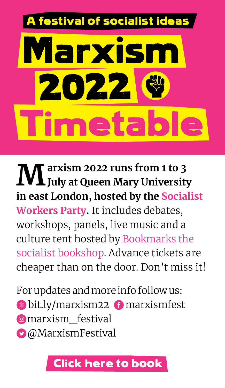# estival of socialist idea Timetable larxisn 2022

**Marxism 2022 runs from 1 to 3 July at Queen Mary University in east London, hosted by the [Socialist](http://socialistworker.co.uk/)  [Workers Party](http://socialistworker.co.uk/).** It includes debates, workshops, panels, live music and a culture tent hosted by [Bookmarks the](http://bookmarksbookshop.co.uk/)  [socialist bookshop.](http://bookmarksbookshop.co.uk/) Advance tickets are cheaper than on the door. Don't miss it!

For updates and more info follow us:  $\bullet$  [bit.ly/marxism22](http://socialistworker.co.uk/marxismfestival/)  $\bullet$  marxismfest  $\bullet$  marxism festival  $\bullet$  [@MarxismFestival](http://twitter.com/MarxismFestival)

#### [Click here to book](https://www.eventbrite.co.uk/e/marxism-2022-a-festival-of-socialist-ideas-tickets-274917905857)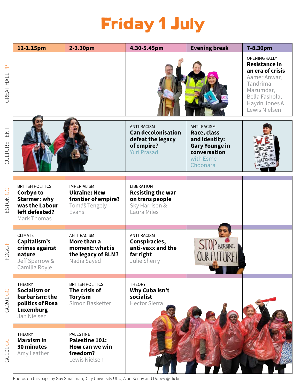### Friday 1 July

|                        | 12-1.15pm                                                                                                      | 2-3.30pm                                                                                    | 4.30-5.45pm                                                                                              | <b>Evening break</b>                                                                                                 | 7-8.30pm                                                                                                                                               |
|------------------------|----------------------------------------------------------------------------------------------------------------|---------------------------------------------------------------------------------------------|----------------------------------------------------------------------------------------------------------|----------------------------------------------------------------------------------------------------------------------|--------------------------------------------------------------------------------------------------------------------------------------------------------|
| GREAT HALL PP          |                                                                                                                |                                                                                             |                                                                                                          |                                                                                                                      | <b>OPENING RALLY</b><br>Resistance in<br>an era of crisis<br>Aamer Anwar,<br>Tandrima<br>Mazumdar,<br>Bella Fashola,<br>Haydn Jones &<br>Lewis Nielsen |
| CULTURE TENT           |                                                                                                                |                                                                                             | <b>ANTI-RACISM</b><br><b>Can decolonisation</b><br>defeat the legacy<br>of empire?<br><b>Yuri Prasad</b> | <b>ANTI-RACISM</b><br>Race, class<br>and identity:<br><b>Gary Younge in</b><br>conversation<br>with Esme<br>Choonara |                                                                                                                                                        |
| PESTON GC              | <b>BRITISH POLITICS</b><br>Corbyn to<br><b>Starmer: why</b><br>was the Labour<br>left defeated?<br>Mark Thomas | <b>IMPERIALISM</b><br><b>Ukraine: New</b><br>frontier of empire?<br>Tomáš Tengely-<br>Evans | <b>LIBERATION</b><br><b>Resisting the war</b><br>on trans people<br>Sky Harrison &<br>Laura Miles        |                                                                                                                      |                                                                                                                                                        |
| Щ<br>FOGG <sub>I</sub> | <b>CLIMATE</b><br>Capitalism's<br>crimes against<br>nature<br>Jeff Sparrow &<br>Camilla Royle                  | ANTI-RACISM<br>More than a<br>moment: what is<br>the legacy of BLM?<br>Nadia Sayed          | <b>ANTI-RACISM</b><br>Conspiracies,<br>anti-vaxx and the<br>far right<br>Julie Sherry                    | STOP BURNING                                                                                                         |                                                                                                                                                        |
| GC201 GC               | <b>THEORY</b><br>Socialism or<br>barbarism: the<br>politics of Rosa<br>Luxemburg<br>Jan Nielsen                | <b>BRITISH POLITICS</b><br>The crisis of<br><b>Toryism</b><br>Simon Basketter               | THEORY<br>Why Cuba isn't<br>socialist<br><b>Hector Sierra</b>                                            |                                                                                                                      |                                                                                                                                                        |
| GC101 GC               | <b>THEORY</b><br><b>Marxism</b> in<br>30 minutes<br>Amy Leather                                                | PALESTINE<br>Palestine 101:<br>How can we win<br>freedom?<br>Lewis Nielsen                  |                                                                                                          |                                                                                                                      |                                                                                                                                                        |

Photos on this page by Guy Smallman, City University UCU, Alan Kenny and Dopey @ flickr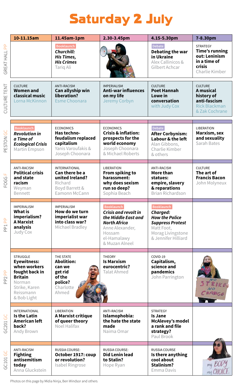### Saturday 2 July

|                                                                  | 10-11.15am                                                                                                                                       | 11.45am-1pm                                                                                                  | 2.30-3.45pm                                                                                                                                    | 4.15-5.30pm                                                                                                                                 | 7-8.30pm                                                                                              |
|------------------------------------------------------------------|--------------------------------------------------------------------------------------------------------------------------------------------------|--------------------------------------------------------------------------------------------------------------|------------------------------------------------------------------------------------------------------------------------------------------------|---------------------------------------------------------------------------------------------------------------------------------------------|-------------------------------------------------------------------------------------------------------|
| <b>GREAT HALL PP</b>                                             |                                                                                                                                                  | Booklaunch<br>Churchill:<br><b>His Times,</b><br><b>His Crimes</b><br>Tarig Ali                              |                                                                                                                                                | Debate<br>Debating the war<br>in Ukraine<br>Alex Callinicos &<br>Gilbert Achcar                                                             | <b>STRATEGY</b><br><b>Time's running</b><br>out: Leninism<br>in a time of<br>crisis<br>Charlie Kimber |
| CULTURE TENT                                                     | <b>CULTURE</b><br><b>Women and</b><br>classical music<br>Lorna McKinnon                                                                          | ANTI-RACISM<br>Can allyship win<br>liberation?<br>Esme Choonara                                              | <b>IMPERIALISM</b><br><b>Anti-war influences</b><br>on my life<br>Jeremy Corbyn                                                                | <b>CULTURE</b><br><b>Poet Hannah</b><br>Lowe in<br>conversation<br>with Judy Cox                                                            | <b>CULTURE</b><br>A musical<br>history of<br>anti-fascism<br><b>Rick Blackman</b><br>& Zak Cochrane   |
| ESTON GC                                                         | <b>Booklaunch</b><br><b>Revolution in</b><br>a Time of<br><b>Ecological Crisis</b><br>Martin Empson                                              | <b>ECONOMICS</b><br>Has techno-<br>feudalism replaced<br>capitalism<br>Yanis Varoufakis &<br>Joseph Choonara | <b>ECONOMICS</b><br><b>Crisis &amp; inflation:</b><br>prospects for the<br>world economy<br>Joseph Choonara<br>& Michael Roberts               | <b>Debate</b><br><b>After Corbynism:</b><br>Labour & the left<br>Alan Gibbons.<br>Charlie Kimber<br>& others                                | <b>LIBERATION</b><br>Marxism, sex<br>and sexuality<br>Sarah Bates                                     |
| Щ<br>FOGG <sub>I</sub>                                           | ANTI-RACISM<br><b>Political crisis</b><br>and state<br>racism<br>Weyman<br>Bennett                                                               | <b>INTERNATIONAL</b><br>Can there be a<br>united Ireland?<br>Richard<br>Boyd Barrett &<br>Eamonn McCann      | LIBERATION<br>From spiking to<br>harassment:<br>why does sexism<br>run so deep?<br>Sophia Beach                                                | ANTI-RACISM<br>More than<br>statues:<br>empire, slavery<br>& reparations<br>Brian Richardson                                                | <b>CULTURE</b><br>The art of<br><b>Francis Bacon</b><br>John Molyneux                                 |
| <b>Ad Tdi</b>                                                    | <b>IMPERIALISM</b><br>What is<br>imperialism?<br><b>A Marxist</b><br>analysis<br>Judy Cox                                                        | <b>IMPERIALISM</b><br>How do we turn<br>imperialist war<br>into class war?<br>Michael Bradley                | <b>Booklaunch</b><br>Crisis and revolt in<br>the Middle East and<br>North Africa<br>Anne Alexander,<br>Hossam<br>el-Hamalawy<br>& Muzan Alneel | <b>Booklaunch</b><br>Charged:<br><b>How the Police</b><br><b>Suppress Protest</b><br>Matt Foot,<br>Morag Livingstone<br>& Jennifer Hilliard |                                                                                                       |
| $\frac{\rho}{\rho}$<br>$\mathbb{S}^2$<br>$\overline{\mathbf{r}}$ | <b>STRUGGLE</b><br><b>Eyewitness:</b><br>when workers<br>fought back in<br><b>Britain</b><br>Norman<br>Strike, Karen<br>Reissmann<br>& Bob Light | THE STATE<br><b>Abolition:</b><br>can we<br>get rid<br>of the<br>police?<br>Charlotte<br>Ahmed               | <b>THEORY</b><br><b>Is Marxism</b><br>eurocentric?<br>Talat Ahmed                                                                              | COVID-19<br>Capitalism,<br>science and<br>pandemics<br>John Parrington                                                                      |                                                                                                       |
| GC201 GC                                                         | <b>INTERNATIONAL</b><br>Is the Latin<br>American left<br>back?<br>Andy Brown                                                                     | LIBERATION<br>A Marxist critique<br>of queer theory<br>Noel Halifax                                          | <b>ANTI-RACISM</b><br>Islamophobia:<br>the hate the state<br>made<br>Naima Omar                                                                | <b>STRATEGY</b><br>Is Jane<br>McAlevey's model<br>a rank and file<br>strategy?<br>Paul Brook                                                |                                                                                                       |
| GC101 GC                                                         | ANTI-RACISM<br><b>Fighting</b><br>antisemitism<br>today<br>Anna Gluckstein                                                                       | RUSSIA COURSE:<br>October 1917: coup<br>or revolution?<br>Isabel Ringrose                                    | RUSSIA COURSE:<br>Did Lenin lead<br>to Stalin?<br>Hope Ryan                                                                                    | RUSSIA COURSE<br>Is there anything<br>cool about<br>Stalinism?<br>Emma Davis                                                                | my BODY<br>my CHOICE                                                                                  |

Photos on this page by Midia Ninja, Ben Windsor and others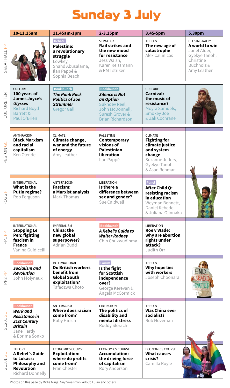## Sunday 3 July

|                                           | 10-11.15am                                                                                                              | 11.45am-1pm                                                                                                                      | 2-3.15pm                                                                                                                                  | 3.45-5pm                                                                                                                              | 5.30pm                                                                                                           |
|-------------------------------------------|-------------------------------------------------------------------------------------------------------------------------|----------------------------------------------------------------------------------------------------------------------------------|-------------------------------------------------------------------------------------------------------------------------------------------|---------------------------------------------------------------------------------------------------------------------------------------|------------------------------------------------------------------------------------------------------------------|
| <b>GREAT HALL PP</b>                      |                                                                                                                         | <b>Debate</b><br><b>Palestine:</b><br>a revolutionary<br>struggle<br>Lowkey,<br>Shahd Abusalama,<br>Ilan Pappé &<br>Sophia Beach | <b>STRATEGY</b><br>Rail strikes and<br>the new mood<br>for resistance<br>Jess Walsh.<br>Karen Reissmann<br>& RMT striker                  | <b>THEORY</b><br>The new age of<br>catastrophe<br>Alex Callinicos                                                                     | <b>CLOSING RALLY</b><br>A world to win<br>Janet Alder.<br>Gyekye Tanoh,<br>Christine<br>Buchholz&<br>Amy Leather |
| CULTURE TENT                              | <b>CULTURE</b><br>100 years of<br>James Joyce's<br><b>Ulysses</b><br><b>Richard Boyd</b><br>Barrett &<br>Paul O'Brien   | <b>Booklaunch</b><br><b>The Punk Rock</b><br><b>Politics of Joe</b><br><b>Strummer</b><br><b>Gregor Gall</b>                     | <b>Booklaunch</b><br><b>Silence is Not</b><br>an Option<br>Sukhdev Reel,<br>John McDonnell.<br>Suresh Grover &<br><b>Brian Richardson</b> | <b>CULTURE</b><br>Carnival:<br>the music of<br>resistance?<br>Moyra Samuels,<br><b>Smokey Joe</b><br>& Zak Cochrane                   |                                                                                                                  |
| PESTON GC                                 | <b>ANTI-RACISM</b><br><b>Black Marxism</b><br>and racial<br>capitalism<br>Ken Olende                                    | <b>CLIMATE</b><br>Climate change,<br>war and the future<br>of energy<br>Amy Leather                                              | <b>PALESTINE</b><br>Contemporary<br>visions of<br><b>Palestinian</b><br>liberation<br>Ilan Pappé                                          | <b>CLIMATE</b><br><b>Fighting for</b><br>climate iustice<br>and system<br>change<br>Suzanne Jeffery,<br>Gyekye Tanoh<br>& Asad Rehman |                                                                                                                  |
| Щ<br>FOGG                                 | <b>INTERNATIONAL</b><br>What is the<br>Putin regime?<br>Rob Ferguson                                                    | ANTI-FASCISM<br>Fascism:<br>a Marxist analysis<br>Mark Thomas                                                                    | <b>LIBERATION</b><br>Is there a<br>difference between<br>sex and gender?<br>Sue Caldwell                                                  | Panel<br>After Child Q:<br>resisting racism<br>in education<br>Weyman Bennett,<br>Daniel Kebede<br>& Juliana Ojinnaka                 |                                                                                                                  |
| $\mathbb{R}$<br><b>P<sub>T</sub></b>      | <b>INTERNATIONAL</b><br><b>Stopping Le</b><br>Pen: fighting<br>fascism in<br><b>France</b><br>Vanina Guidicelli         | <b>IMPERIALISM</b><br>China: the<br>new global<br>superpower?<br>Adrian Budd                                                     | <b>Booklaunch</b><br>A Rebel's Guide to<br><b>Walter Rodney</b><br>Chin Chukwudinma                                                       | <b>LIBERATION</b><br><b>Roe v Wade:</b><br>why are abortion<br>rights under<br>attack?<br>Judith Orr                                  |                                                                                                                  |
| $\frac{\Omega}{\Omega}$<br>P <sub>2</sub> | <b>Booklaunch</b><br>Socialism and<br><b>Revolution</b><br>John Molyneux                                                | INTERNATIONAL<br><b>Do British workers</b><br>benefit from<br><b>Global South</b><br>exploitation?<br>Tafadzwa Choto             | Forum<br>Is the fight<br>for Scottish<br>independence<br>over?<br>George Kerevan &<br>Angela McCormick                                    | THEORY<br>Why hope lies<br>with workers<br>Joseph Choonara                                                                            |                                                                                                                  |
| GC201 GC                                  | <b>Booklaunch</b><br><b>Work and</b><br><b>Resistance in</b><br>21st Century<br>Britain<br>Jane Hardy<br>& Ebrima Sonko | ANTI-RACISM<br><b>Where does racism</b><br>come from?<br>Ruby Hirsch                                                             | <b>LIBERATION</b><br>The politics of<br>disability and<br>mental distress<br>Roddy Slorach                                                | THEORY<br><b>Was China ever</b><br>socialist?<br>Rob Hoveman                                                                          |                                                                                                                  |
| GC101 GC                                  | <b>THEORY</b><br>A Rebel's Guide<br>to Lukács:<br>Philosophy and<br>Revolution<br>Richard Donnelly                      | <b>ECONOMICS COURSE</b><br><b>Exploitation:</b><br>where do profits<br>come from?<br>Fran Chester                                | <b>ECONOMICS COURSE</b><br>Accumulation:<br>the driving force<br>of capitalism<br>Rory Anderson                                           | <b>ECONOMICS COURSE</b><br><b>What causes</b><br>crisis?<br>Camilla Royle                                                             |                                                                                                                  |

Photos on this page by Midia Ninja, Guy Smallman, Adolfo Lujan and others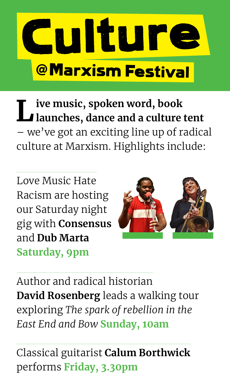

**Live music, spoken word, book launches, dance and a culture tent** – we've got an exciting line up of radical culture at Marxism. Highlights include:

Love Music Hate Racism are hosting our Saturday night gig with **Consensus** and **Dub Marta Saturday, 9pm**



Author and radical historian **David Rosenberg** leads a walking tour exploring *The spark of rebellion in the East End and Bow* **Sunday, 10am**

Classical guitarist **Calum Borthwick** performs **Friday, 3.30pm**